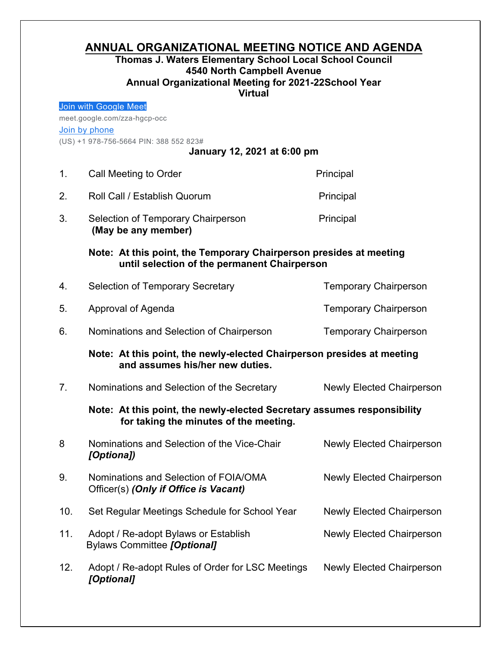## **ANNUAL ORGANIZATIONAL MEETING NOTICE AND AGENDA**

## **Thomas J. Waters Elementary School Local School Council 4540 North Campbell Avenue Annual Organizational Meeting for 2021-22School Year Virtual**

|                                                                       | Join with Google Meet                                                                                              |                                  |  |
|-----------------------------------------------------------------------|--------------------------------------------------------------------------------------------------------------------|----------------------------------|--|
| meet.google.com/zza-hgcp-occ                                          |                                                                                                                    |                                  |  |
| Join by phone                                                         |                                                                                                                    |                                  |  |
| (US) +1 978-756-5664 PIN: 388 552 823#<br>January 12, 2021 at 6:00 pm |                                                                                                                    |                                  |  |
|                                                                       |                                                                                                                    |                                  |  |
| 1.                                                                    | Call Meeting to Order                                                                                              | Principal                        |  |
| 2.                                                                    | Roll Call / Establish Quorum                                                                                       | Principal                        |  |
| 3.                                                                    | Selection of Temporary Chairperson<br>(May be any member)                                                          | Principal                        |  |
|                                                                       | Note: At this point, the Temporary Chairperson presides at meeting<br>until selection of the permanent Chairperson |                                  |  |
| 4.                                                                    | <b>Selection of Temporary Secretary</b>                                                                            | <b>Temporary Chairperson</b>     |  |
| 5.                                                                    | Approval of Agenda                                                                                                 | <b>Temporary Chairperson</b>     |  |
| 6.                                                                    | Nominations and Selection of Chairperson                                                                           | <b>Temporary Chairperson</b>     |  |
|                                                                       | Note: At this point, the newly-elected Chairperson presides at meeting<br>and assumes his/her new duties.          |                                  |  |
| 7.                                                                    | Nominations and Selection of the Secretary                                                                         | <b>Newly Elected Chairperson</b> |  |
|                                                                       | Note: At this point, the newly-elected Secretary assumes responsibility<br>for taking the minutes of the meeting.  |                                  |  |
| 8                                                                     | Nominations and Selection of the Vice-Chair<br>[Optiona])                                                          | <b>Newly Elected Chairperson</b> |  |
| 9.                                                                    | Nominations and Selection of FOIA/OMA<br>Officer(s) (Only if Office is Vacant)                                     | <b>Newly Elected Chairperson</b> |  |
| 10.                                                                   | Set Regular Meetings Schedule for School Year                                                                      | <b>Newly Elected Chairperson</b> |  |
| 11.                                                                   | Adopt / Re-adopt Bylaws or Establish<br><b>Bylaws Committee [Optional]</b>                                         | <b>Newly Elected Chairperson</b> |  |
| 12.                                                                   | Adopt / Re-adopt Rules of Order for LSC Meetings<br>[Optional]                                                     | <b>Newly Elected Chairperson</b> |  |